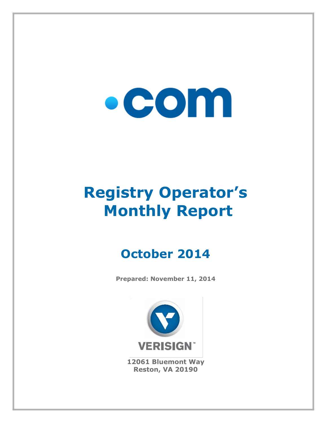# $\bullet$  COM

## **Registry Operator's Monthly Report**

### **October 2014**

**Prepared: November 11, 2014**



**12061 Bluemont Way Reston, VA 20190**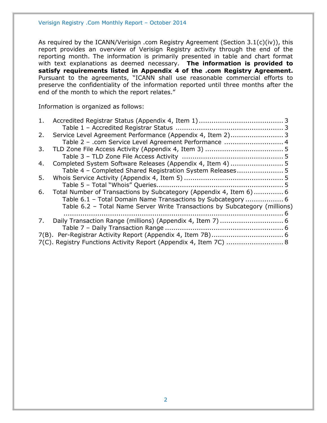As required by the ICANN/Verisign .com Registry Agreement (Section 3.1(c)(iv)), this report provides an overview of Verisign Registry activity through the end of the reporting month. The information is primarily presented in table and chart format with text explanations as deemed necessary. **The information is provided to satisfy requirements listed in Appendix 4 of the .com Registry Agreement.** Pursuant to the agreements, "ICANN shall use reasonable commercial efforts to preserve the confidentiality of the information reported until three months after the end of the month to which the report relates."

Information is organized as follows:

| 1. |                                                                            |  |
|----|----------------------------------------------------------------------------|--|
|    |                                                                            |  |
| 2. | Service Level Agreement Performance (Appendix 4, Item 2) 3                 |  |
|    | Table 2 - .com Service Level Agreement Performance  4                      |  |
| 3. |                                                                            |  |
|    |                                                                            |  |
| 4. |                                                                            |  |
|    | Table 4 - Completed Shared Registration System Releases 5                  |  |
| 5. |                                                                            |  |
|    |                                                                            |  |
| 6. | Total Number of Transactions by Subcategory (Appendix 4, Item 6)  6        |  |
|    | Table 6.1 - Total Domain Name Transactions by Subcategory  6               |  |
|    | Table 6.2 - Total Name Server Write Transactions by Subcategory (millions) |  |
|    |                                                                            |  |
| 7. |                                                                            |  |
|    |                                                                            |  |
|    |                                                                            |  |
|    | 7(C). Registry Functions Activity Report (Appendix 4, Item 7C)  8          |  |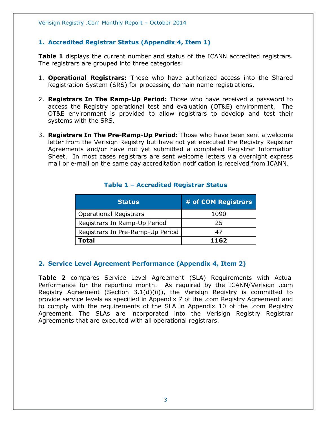#### <span id="page-2-0"></span>**1. Accredited Registrar Status (Appendix 4, Item 1)**

**Table 1** displays the current number and status of the ICANN accredited registrars. The registrars are grouped into three categories:

- 1. **Operational Registrars:** Those who have authorized access into the Shared Registration System (SRS) for processing domain name registrations.
- 2. **Registrars In The Ramp-Up Period:** Those who have received a password to access the Registry operational test and evaluation (OT&E) environment. The OT&E environment is provided to allow registrars to develop and test their systems with the SRS.
- 3. **Registrars In The Pre-Ramp-Up Period:** Those who have been sent a welcome letter from the Verisign Registry but have not yet executed the Registry Registrar Agreements and/or have not yet submitted a completed Registrar Information Sheet. In most cases registrars are sent welcome letters via overnight express mail or e-mail on the same day accreditation notification is received from ICANN.

<span id="page-2-1"></span>

| <b>Status</b>                    | # of COM Registrars |
|----------------------------------|---------------------|
| <b>Operational Registrars</b>    | 1090                |
| Registrars In Ramp-Up Period     | 25                  |
| Registrars In Pre-Ramp-Up Period | 47                  |
| Total                            | 1162                |

#### **Table 1 – Accredited Registrar Status**

#### <span id="page-2-2"></span>**2. Service Level Agreement Performance (Appendix 4, Item 2)**

**Table 2** compares Service Level Agreement (SLA) Requirements with Actual Performance for the reporting month. As required by the ICANN/Verisign .com Registry Agreement (Section 3.1(d)(ii)), the Verisign Registry is committed to provide service levels as specified in Appendix 7 of the .com Registry Agreement and to comply with the requirements of the SLA in Appendix 10 of the .com Registry Agreement. The SLAs are incorporated into the Verisign Registry Registrar Agreements that are executed with all operational registrars.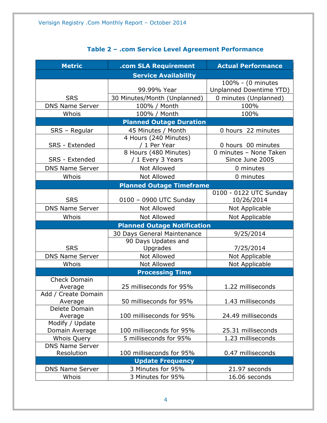<span id="page-3-0"></span>

| <b>Metric</b>                                | .com SLA Requirement            | <b>Actual Performance</b> |  |
|----------------------------------------------|---------------------------------|---------------------------|--|
|                                              | <b>Service Availability</b>     |                           |  |
|                                              |                                 | 100% - (0 minutes         |  |
|                                              | 99.99% Year                     | Unplanned Downtime YTD)   |  |
| <b>SRS</b>                                   | 30 Minutes/Month (Unplanned)    | 0 minutes (Unplanned)     |  |
| <b>DNS Name Server</b>                       | 100% / Month                    | 100%                      |  |
| Whois                                        | 100% / Month                    | 100%                      |  |
|                                              | <b>Planned Outage Duration</b>  |                           |  |
| SRS - Regular                                | 45 Minutes / Month              | 0 hours 22 minutes        |  |
|                                              | 4 Hours (240 Minutes)           |                           |  |
| SRS - Extended                               | / 1 Per Year                    | 0 hours 00 minutes        |  |
|                                              | 8 Hours (480 Minutes)           | 0 minutes - None Taken    |  |
| SRS - Extended                               | / 1 Every 3 Years               | Since June 2005           |  |
| <b>DNS Name Server</b>                       | <b>Not Allowed</b>              | 0 minutes                 |  |
| Whois                                        | <b>Not Allowed</b>              | 0 minutes                 |  |
|                                              | <b>Planned Outage Timeframe</b> |                           |  |
|                                              |                                 | 0100 - 0122 UTC Sunday    |  |
| <b>SRS</b>                                   | 0100 - 0900 UTC Sunday          | 10/26/2014                |  |
| <b>DNS Name Server</b>                       | Not Allowed                     | Not Applicable            |  |
| Whois                                        | Not Allowed                     | Not Applicable            |  |
| <b>Planned Outage Notification</b>           |                                 |                           |  |
|                                              | 30 Days General Maintenance     | 9/25/2014                 |  |
|                                              | 90 Days Updates and             |                           |  |
| <b>SRS</b>                                   | Upgrades                        | 7/25/2014                 |  |
| <b>DNS Name Server</b>                       | <b>Not Allowed</b>              | Not Applicable            |  |
| Whois                                        | <b>Not Allowed</b>              | Not Applicable            |  |
|                                              | <b>Processing Time</b>          |                           |  |
| <b>Check Domain</b>                          |                                 |                           |  |
| Average                                      | 25 milliseconds for 95%         | 1.22 milliseconds         |  |
| Add / Create Domain                          |                                 |                           |  |
| Average                                      | 50 milliseconds for 95%         | 1.43 milliseconds         |  |
| Delete Domain                                |                                 |                           |  |
| Average                                      | 100 milliseconds for 95%        | 24.49 milliseconds        |  |
| Modify / Update                              |                                 |                           |  |
| Domain Average                               | 100 milliseconds for 95%        | 25.31 milliseconds        |  |
| <b>Whois Query</b><br><b>DNS Name Server</b> | 5 milliseconds for 95%          | 1.23 milliseconds         |  |
| Resolution                                   | 100 milliseconds for 95%        | 0.47 milliseconds         |  |
|                                              | <b>Update Frequency</b>         |                           |  |
| <b>DNS Name Server</b>                       | 3 Minutes for 95%               | 21.97 seconds             |  |
| Whois                                        | 3 Minutes for 95%               | 16.06 seconds             |  |
|                                              |                                 |                           |  |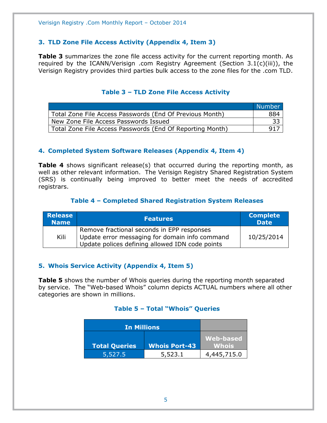#### <span id="page-4-0"></span>**3. TLD Zone File Access Activity (Appendix 4, Item 3)**

**Table 3** summarizes the zone file access activity for the current reporting month. As required by the ICANN/Verisign .com Registry Agreement (Section 3.1(c)(iii)), the Verisign Registry provides third parties bulk access to the zone files for the .com TLD.

#### **Table 3 – TLD Zone File Access Activity**

<span id="page-4-1"></span>

|                                                           | Number |
|-----------------------------------------------------------|--------|
| Total Zone File Access Passwords (End Of Previous Month)  | 884    |
| New Zone File Access Passwords Issued                     | -33    |
| Total Zone File Access Passwords (End Of Reporting Month) | 917    |

#### <span id="page-4-2"></span>**4. Completed System Software Releases (Appendix 4, Item 4)**

**Table 4** shows significant release(s) that occurred during the reporting month, as well as other relevant information. The Verisign Registry Shared Registration System (SRS) is continually being improved to better meet the needs of accredited registrars.

#### **Table 4 – Completed Shared Registration System Releases**

<span id="page-4-3"></span>

| <b>Release</b><br><b>Name</b> | <b>Features</b>                                                                                                                                 | <b>Complete</b><br>$\overline{\mathsf{Date}}^{\mathsf{t}}$ |
|-------------------------------|-------------------------------------------------------------------------------------------------------------------------------------------------|------------------------------------------------------------|
| Kili                          | Remove fractional seconds in EPP responses<br>Update error messaging for domain info command<br>Update polices defining allowed IDN code points | 10/25/2014                                                 |

#### <span id="page-4-4"></span>**5. Whois Service Activity (Appendix 4, Item 5)**

<span id="page-4-5"></span>**Table 5** shows the number of Whois queries during the reporting month separated by service. The "Web-based Whois" column depicts ACTUAL numbers where all other categories are shown in millions.

#### **Table 5 – Total "Whois" Queries**

<span id="page-4-6"></span>

| <b>In Millions</b>   |                      |                           |
|----------------------|----------------------|---------------------------|
| <b>Total Queries</b> | <b>Whois Port-43</b> | <b>Web-based</b><br>Whois |
| 5,527.5              | 5,523.1              | 4,445,715.0               |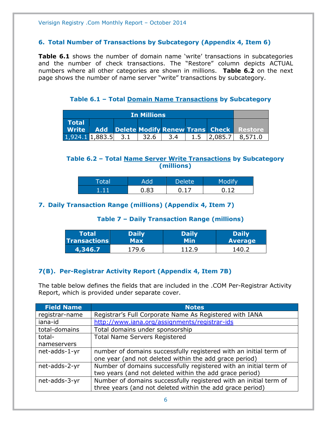#### **6. Total Number of Transactions by Subcategory (Appendix 4, Item 6)**

**Table 6.1** shows the number of domain name 'write' transactions in subcategories and the number of check transactions. The "Restore" column depicts ACTUAL numbers where all other categories are shown in millions. **Table 6.2** on the next page shows the number of name server "write" transactions by subcategory.

**Table 6.1 – Total Domain Name Transactions by Subcategory**

<span id="page-5-0"></span>

| <b>In Millions</b>                                                               |  |  |       |     |  |                                                          |
|----------------------------------------------------------------------------------|--|--|-------|-----|--|----------------------------------------------------------|
| <b>Total</b>                                                                     |  |  |       |     |  |                                                          |
|                                                                                  |  |  |       |     |  | <b>Write Add Delete Modify Renew Trans Check Restore</b> |
| $\begin{array}{ c c c c c c } \hline 1,924.1 & 1,883.5 & 3.1 \hline \end{array}$ |  |  | -32.6 | 3.4 |  | $1.5$   2,085.7   8,571.0                                |

#### <span id="page-5-1"></span>**Table 6.2 – Total Name Server Write Transactions by Subcategory (millions)**

| $\sim$ $\sim$<br>a. |    | Delete <sup>'</sup> | <b>CONTRACTOR</b> |
|---------------------|----|---------------------|-------------------|
|                     | R٦ |                     |                   |

#### <span id="page-5-3"></span><span id="page-5-2"></span>**7. Daily Transaction Range (millions) (Appendix 4, Item 7)**

#### **Table 7 – Daily Transaction Range (millions)**

| <b>Total</b>        | <b>Daily</b> | Daily | <b>Daily</b>   |
|---------------------|--------------|-------|----------------|
| $\sf{Transactions}$ | Max          | Min   | <b>Average</b> |
| 4,346.7             | 179.6        | 112.9 | 140.2          |

#### <span id="page-5-4"></span>**7(B). Per-Registrar Activity Report (Appendix 4, Item 7B)**

The table below defines the fields that are included in the .COM Per-Registrar Activity Report, which is provided under separate cover.

| <b>Field Name</b> | <b>Notes</b>                                                      |
|-------------------|-------------------------------------------------------------------|
| registrar-name    | Registrar's Full Corporate Name As Registered with IANA           |
| iana-id           | http://www.iana.org/assignments/registrar-ids                     |
| total-domains     | Total domains under sponsorship                                   |
| total-            | <b>Total Name Servers Registered</b>                              |
| nameservers       |                                                                   |
| net-adds-1-yr     | number of domains successfully registered with an initial term of |
|                   | one year (and not deleted within the add grace period)            |
| net-adds-2-yr     | Number of domains successfully registered with an initial term of |
|                   | two years (and not deleted within the add grace period)           |
| net-adds-3-yr     | Number of domains successfully registered with an initial term of |
|                   | three years (and not deleted within the add grace period)         |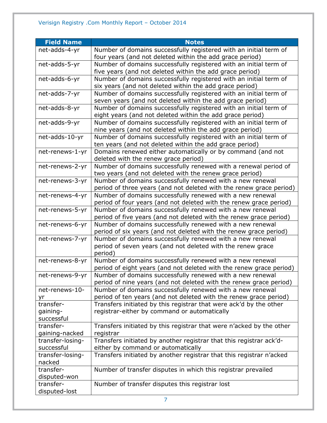| <b>Field Name</b>      | <b>Notes</b>                                                                                                                  |
|------------------------|-------------------------------------------------------------------------------------------------------------------------------|
| net-adds-4-yr          | Number of domains successfully registered with an initial term of                                                             |
|                        | four years (and not deleted within the add grace period)                                                                      |
| net-adds-5-yr          | Number of domains successfully registered with an initial term of                                                             |
|                        | five years (and not deleted within the add grace period)                                                                      |
| net-adds-6-yr          | Number of domains successfully registered with an initial term of                                                             |
|                        | six years (and not deleted within the add grace period)                                                                       |
| net-adds-7-yr          | Number of domains successfully registered with an initial term of                                                             |
|                        | seven years (and not deleted within the add grace period)                                                                     |
| net-adds-8-yr          | Number of domains successfully registered with an initial term of                                                             |
|                        | eight years (and not deleted within the add grace period)                                                                     |
| net-adds-9-yr          | Number of domains successfully registered with an initial term of<br>nine years (and not deleted within the add grace period) |
| net-adds-10-yr         | Number of domains successfully registered with an initial term of                                                             |
|                        | ten years (and not deleted within the add grace period)                                                                       |
| net-renews-1-yr        | Domains renewed either automatically or by command (and not                                                                   |
|                        | deleted with the renew grace period)                                                                                          |
| net-renews-2-yr        | Number of domains successfully renewed with a renewal period of                                                               |
|                        | two years (and not deleted with the renew grace period)                                                                       |
| net-renews-3-yr        | Number of domains successfully renewed with a new renewal                                                                     |
|                        | period of three years (and not deleted with the renew grace period)                                                           |
| net-renews-4-yr        | Number of domains successfully renewed with a new renewal                                                                     |
|                        | period of four years (and not deleted with the renew grace period)                                                            |
| net-renews-5-yr        | Number of domains successfully renewed with a new renewal                                                                     |
|                        | period of five years (and not deleted with the renew grace period)                                                            |
| net-renews-6-yr        | Number of domains successfully renewed with a new renewal                                                                     |
|                        | period of six years (and not deleted with the renew grace period)                                                             |
| net-renews-7-yr        | Number of domains successfully renewed with a new renewal                                                                     |
|                        | period of seven years (and not deleted with the renew grace<br>period)                                                        |
| net-renews-8-yr        | Number of domains successfully renewed with a new renewal                                                                     |
|                        | period of eight years (and not deleted with the renew grace period)                                                           |
| net-renews-9-yr        | Number of domains successfully renewed with a new renewal                                                                     |
|                        | period of nine years (and not deleted with the renew grace period)                                                            |
| net-renews-10-         | Number of domains successfully renewed with a new renewal                                                                     |
| yr                     | period of ten years (and not deleted with the renew grace period)                                                             |
| transfer-              | Transfers initiated by this registrar that were ack'd by the other                                                            |
| gaining-<br>successful | registrar-either by command or automatically                                                                                  |
| transfer-              | Transfers initiated by this registrar that were n'acked by the other                                                          |
| gaining-nacked         | registrar                                                                                                                     |
| transfer-losing-       | Transfers initiated by another registrar that this registrar ack'd-                                                           |
| successful             | either by command or automatically                                                                                            |
| transfer-losing-       | Transfers initiated by another registrar that this registrar n'acked                                                          |
| nacked                 |                                                                                                                               |
| transfer-              | Number of transfer disputes in which this registrar prevailed                                                                 |
| disputed-won           |                                                                                                                               |
| transfer-              | Number of transfer disputes this registrar lost                                                                               |
| disputed-lost          |                                                                                                                               |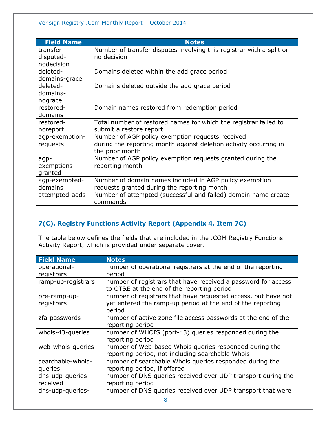| <b>Field Name</b> | <b>Notes</b>                                                         |
|-------------------|----------------------------------------------------------------------|
| transfer-         | Number of transfer disputes involving this registrar with a split or |
| disputed-         | no decision                                                          |
| nodecision        |                                                                      |
| deleted-          | Domains deleted within the add grace period                          |
| domains-grace     |                                                                      |
| deleted-          | Domains deleted outside the add grace period                         |
| domains-          |                                                                      |
| nograce           |                                                                      |
| restored-         | Domain names restored from redemption period                         |
| domains           |                                                                      |
| restored-         | Total number of restored names for which the registrar failed to     |
| noreport          | submit a restore report                                              |
| agp-exemption-    | Number of AGP policy exemption requests received                     |
| requests          | during the reporting month against deletion activity occurring in    |
|                   | the prior month                                                      |
| agp-              | Number of AGP policy exemption requests granted during the           |
| exemptions-       | reporting month                                                      |
| granted           |                                                                      |
| agp-exempted-     | Number of domain names included in AGP policy exemption              |
| domains           | requests granted during the reporting month                          |
| attempted-adds    | Number of attempted (successful and failed) domain name create       |
|                   | commands                                                             |

#### <span id="page-7-0"></span>**7(C). Registry Functions Activity Report (Appendix 4, Item 7C)**

The table below defines the fields that are included in the .COM Registry Functions Activity Report, which is provided under separate cover.

| <b>Field Name</b>  | <b>Notes</b>                                                  |
|--------------------|---------------------------------------------------------------|
| operational-       | number of operational registrars at the end of the reporting  |
| registrars         | period                                                        |
| ramp-up-registrars | number of registrars that have received a password for access |
|                    | to OT&E at the end of the reporting period                    |
| pre-ramp-up-       | number of registrars that have requested access, but have not |
| registrars         | yet entered the ramp-up period at the end of the reporting    |
|                    | period                                                        |
| zfa-passwords      | number of active zone file access passwords at the end of the |
|                    | reporting period                                              |
| whois-43-queries   | number of WHOIS (port-43) queries responded during the        |
|                    | reporting period                                              |
| web-whois-queries  | number of Web-based Whois queries responded during the        |
|                    | reporting period, not including searchable Whois              |
| searchable-whois-  | number of searchable Whois queries responded during the       |
| queries            | reporting period, if offered                                  |
| dns-udp-queries-   | number of DNS queries received over UDP transport during the  |
| received           | reporting period                                              |
| dns-udp-queries-   | number of DNS queries received over UDP transport that were   |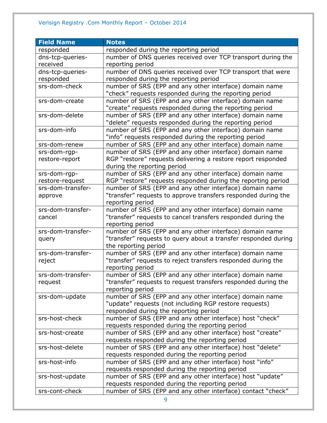#### Verisign Registry .Com Monthly Report – October 2014

| <b>Field Name</b>                    | <b>Notes</b>                                                                |
|--------------------------------------|-----------------------------------------------------------------------------|
| responded                            | responded during the reporting period                                       |
| dns-tcp-queries-                     | number of DNS queries received over TCP transport during the                |
| received                             | reporting period                                                            |
| dns-tcp-queries-                     | number of DNS queries received over TCP transport that were                 |
| responded                            | responded during the reporting period                                       |
| srs-dom-check                        | number of SRS (EPP and any other interface) domain name                     |
|                                      | "check" requests responded during the reporting period                      |
| srs-dom-create                       | number of SRS (EPP and any other interface) domain name                     |
|                                      | "create" requests responded during the reporting period                     |
| srs-dom-delete                       | number of SRS (EPP and any other interface) domain name                     |
|                                      | "delete" requests responded during the reporting period                     |
| srs-dom-info                         | number of SRS (EPP and any other interface) domain name                     |
|                                      | "info" requests responded during the reporting period                       |
| srs-dom-renew                        | number of SRS (EPP and any other interface) domain name                     |
| srs-dom-rgp-                         | number of SRS (EPP and any other interface) domain name                     |
| restore-report                       | RGP "restore" requests delivering a restore report responded                |
|                                      | during the reporting period                                                 |
| srs-dom-rgp-                         | number of SRS (EPP and any other interface) domain name                     |
| restore-request<br>srs-dom-transfer- | RGP "restore" requests responded during the reporting period                |
|                                      | number of SRS (EPP and any other interface) domain name                     |
| approve                              | "transfer" requests to approve transfers responded during the               |
| srs-dom-transfer-                    | reporting period<br>number of SRS (EPP and any other interface) domain name |
| cancel                               | "transfer" requests to cancel transfers responded during the                |
|                                      | reporting period                                                            |
| srs-dom-transfer-                    | number of SRS (EPP and any other interface) domain name                     |
| query                                | "transfer" requests to query about a transfer responded during              |
|                                      | the reporting period                                                        |
| srs-dom-transfer-                    | number of SRS (EPP and any other interface) domain name                     |
| reject                               | "transfer" requests to reject transfers responded during the                |
|                                      | reporting period                                                            |
| srs-dom-transfer-                    | number of SRS (EPP and any other interface) domain name                     |
| request                              | "transfer" requests to request transfers responded during the               |
|                                      | reporting period                                                            |
| srs-dom-update                       | number of SRS (EPP and any other interface) domain name                     |
|                                      | "update" requests (not including RGP restore requests)                      |
|                                      | responded during the reporting period                                       |
| srs-host-check                       | number of SRS (EPP and any other interface) host "check"                    |
|                                      | requests responded during the reporting period                              |
| srs-host-create                      | number of SRS (EPP and any other interface) host "create"                   |
|                                      | requests responded during the reporting period                              |
| srs-host-delete                      | number of SRS (EPP and any other interface) host "delete"                   |
|                                      | requests responded during the reporting period                              |
| srs-host-info                        | number of SRS (EPP and any other interface) host "info"                     |
|                                      | requests responded during the reporting period                              |
| srs-host-update                      | number of SRS (EPP and any other interface) host "update"                   |
|                                      | requests responded during the reporting period                              |
| srs-cont-check                       | number of SRS (EPP and any other interface) contact "check"                 |